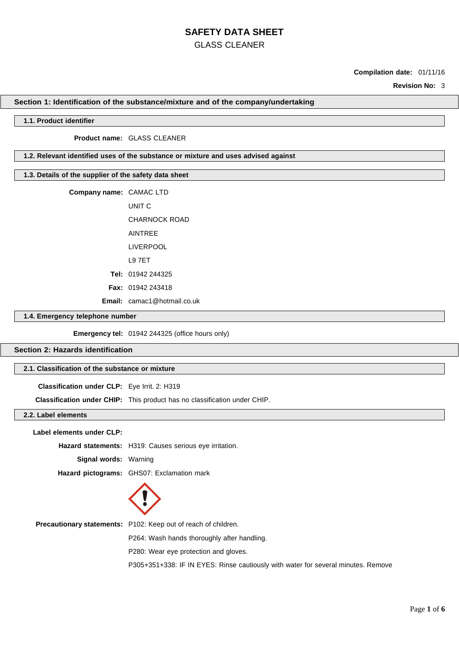## GLASS CLEANER

### **Compilation date:** 01/11/16

**Revision No:** 3

#### **Section 1: Identification of the substance/mixture and of the company/undertaking**

### **1.1. Product identifier**

#### **Product name:** GLASS CLEANER

### **1.2. Relevant identified uses of the substance or mixture and uses advised against**

### **1.3. Details of the supplier of the safety data sheet**

**Company name:** CAMAC LTD UNIT C CHARNOCK ROAD AINTREE LIVERPOOL L9 7ET **Tel:** 01942 244325 **Fax:** 01942 243418 **Email:** camac1@hotmail.co.uk

### **1.4. Emergency telephone number**

**Emergency tel:** 01942 244325 (office hours only)

### **Section 2: Hazards identification**

### **2.1. Classification of the substance or mixture**

**Classification under CLP:** Eye Irrit. 2: H319

**Classification under CHIP:** This product has no classification under CHIP.

### **2.2. Label elements**

**Label elements under CLP:**

**Hazard statements:** H319: Causes serious eye irritation. **Signal words:** Warning

**Hazard pictograms:** GHS07: Exclamation mark



**Precautionary statements:** P102: Keep out of reach of children.

P264: Wash hands thoroughly after handling.

P280: Wear eye protection and gloves.

P305+351+338: IF IN EYES: Rinse cautiously with water for several minutes. Remove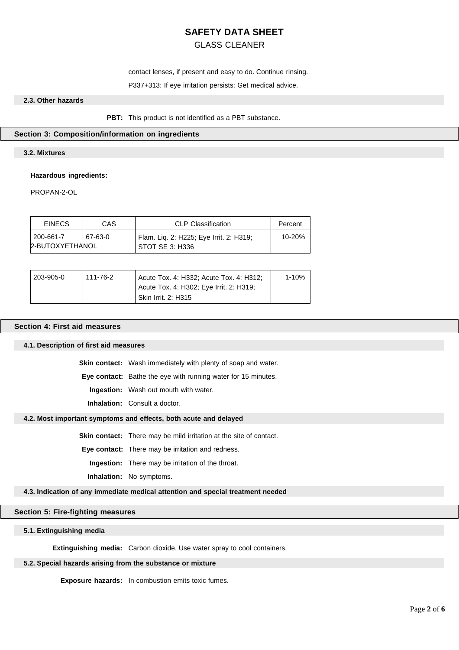### GLASS CLEANER

contact lenses, if present and easy to do. Continue rinsing.

#### P337+313: If eye irritation persists: Get medical advice.

### **2.3. Other hazards**

**PBT:** This product is not identified as a PBT substance.

### **Section 3: Composition/information on ingredients**

### **3.2. Mixtures**

#### **Hazardous ingredients:**

PROPAN-2-OL

| <b>EINECS</b>   | CAS     | <b>CLP Classification</b>               | Percent    |
|-----------------|---------|-----------------------------------------|------------|
| 200-661-7       | 67-63-0 | Flam. Lig. 2: H225; Eye Irrit. 2: H319; | $10 - 20%$ |
| 2-BUTOXYETHANOL |         | STOT SE 3: H336                         |            |

| 203-905-0 | 111-76-2 | Acute Tox. 4: H332; Acute Tox. 4: H312; | 1-10% |
|-----------|----------|-----------------------------------------|-------|
|           |          | Acute Tox. 4: H302; Eye Irrit. 2: H319; |       |
|           |          | <b>Skin Irrit. 2: H315</b>              |       |

### **Section 4: First aid measures**

### **4.1. Description of first aid measures**

**Skin contact:** Wash immediately with plenty of soap and water.

**Eye contact:** Bathe the eye with running water for 15 minutes.

**Ingestion:** Wash out mouth with water.

**Inhalation:** Consult a doctor.

### **4.2. Most important symptoms and effects, both acute and delayed**

**Skin contact:** There may be mild irritation at the site of contact.

**Eye contact:** There may be irritation and redness.

**Ingestion:** There may be irritation of the throat.

**Inhalation:** No symptoms.

#### **4.3. Indication of any immediate medical attention and special treatment needed**

### **Section 5: Fire-fighting measures**

#### **5.1. Extinguishing media**

**Extinguishing media:** Carbon dioxide. Use water spray to cool containers.

### **5.2. Special hazards arising from the substance or mixture**

**Exposure hazards:** In combustion emits toxic fumes.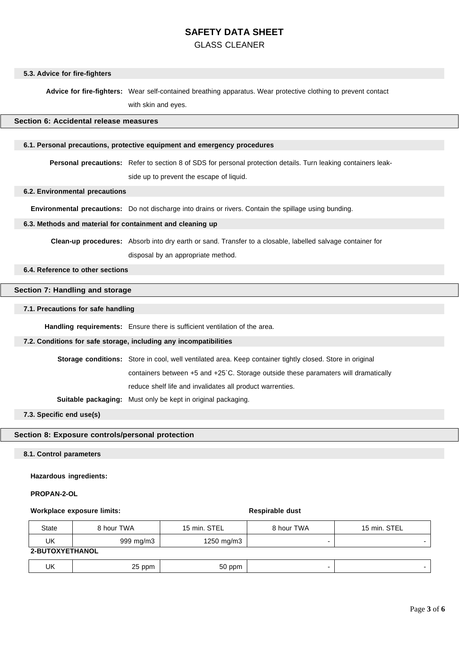### GLASS CLEANER

### **5.3. Advice for fire-fighters**

**Advice for fire-fighters:** Wear self-contained breathing apparatus. Wear protective clothing to prevent contact with skin and eyes.

#### **Section 6: Accidental release measures**

#### **6.1. Personal precautions, protective equipment and emergency procedures**

**Personal precautions:** Refer to section 8 of SDS for personal protection details. Turn leaking containers leakside up to prevent the escape of liquid.

### **6.2. Environmental precautions**

**Environmental precautions:** Do not discharge into drains or rivers. Contain the spillage using bunding.

### **6.3. Methods and material for containment and cleaning up**

**Clean-up procedures:** Absorb into dry earth or sand. Transfer to a closable, labelled salvage container for disposal by an appropriate method.

### **6.4. Reference to other sections**

### **Section 7: Handling and storage**

### **7.1. Precautions for safe handling**

**Handling requirements:** Ensure there is sufficient ventilation of the area.

### **7.2. Conditions for safe storage, including any incompatibilities**

| <b>Storage conditions:</b> Store in cool, well ventilated area. Keep container tightly closed. Store in original |  |  |  |
|------------------------------------------------------------------------------------------------------------------|--|--|--|
| containers between +5 and +25 °C. Storage outside these paramaters will dramatically                             |  |  |  |
| reduce shelf life and invalidates all product warrenties.                                                        |  |  |  |
| <b>Suitable packaging:</b> Must only be kept in original packaging.                                              |  |  |  |

**7.3. Specific end use(s)**

### **Section 8: Exposure controls/personal protection**

### **8.1. Control parameters**

**Hazardous ingredients:**

#### **PROPAN-2-OL**

### **Workplace** exposure limits: **Respirable** dust

| <b>State</b>    | 8 hour TWA | 15 min. STEL  | 8 hour TWA | 15 min. STEL |  |  |
|-----------------|------------|---------------|------------|--------------|--|--|
| UK              | 999 mg/m3  | 1250 mg/m $3$ |            |              |  |  |
| 2-BUTOXYETHANOL |            |               |            |              |  |  |
| UK              | 25 ppm     | 50 ppm        |            |              |  |  |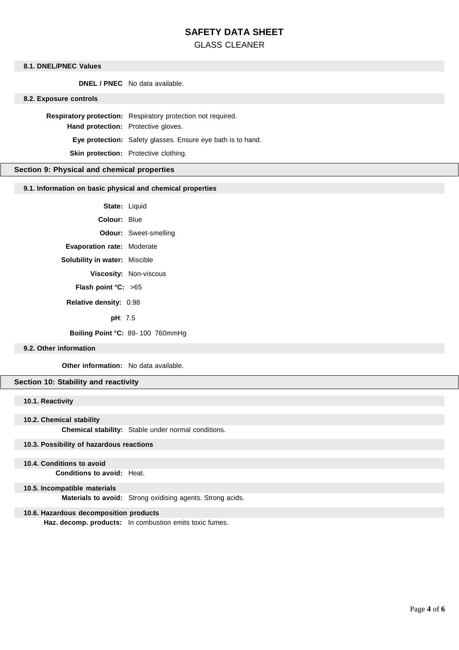### GLASS CLEANER

### **8.1. DNEL/PNEC Values**

**DNEL / PNEC** No data available.

#### **8.2. Exposure controls**

**Respiratory protection:** Respiratory protection not required. **Hand protection:** Protective gloves. **Eye protection:** Safety glasses. Ensure eye bath is to hand.

**Skin protection:** Protective clothing.

### **Section 9: Physical and chemical properties**

### **9.1. Information on basic physical and chemical properties**

**State:** Liquid

**Colour:** Blue

**Odour:** Sweet-smelling

**Evaporation rate:** Moderate

**Solubility in water:** Miscible

**Viscosity:** Non-viscous

**Flash point °C:** >65

 **Relative density:** 0.98

**pH**: 7.5

**Boiling Point °C:** 89- 100 760mmHg

### **9.2. Other information**

**Other information:** No data available.

### **Section 10: Stability and reactivity**

### **10.1. Reactivity**

#### **10.2. Chemical stability**

**Chemical stability:** Stable under normal conditions.

### **10.3. Possibility of hazardous reactions**

#### **10.4. Conditions to avoid**

**Conditions to avoid:** Heat.

### **10.5. Incompatible materials**

**Materials to avoid:** Strong oxidising agents. Strong acids.

#### **10.6. Hazardous decomposition products**

**Haz. decomp. products:** In combustion emits toxic fumes.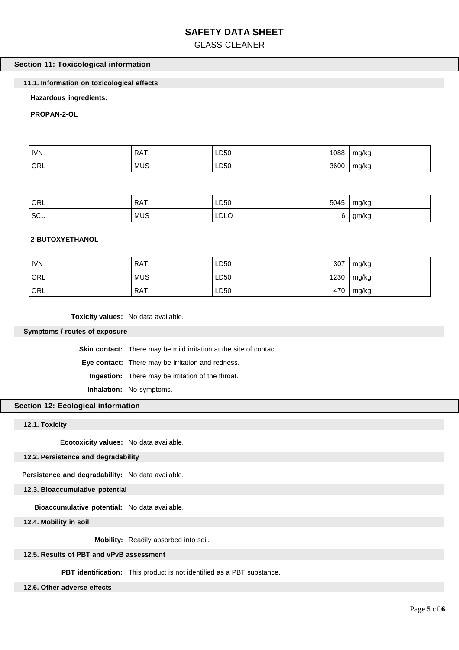## GLASS CLEANER

### **Section 11: Toxicological information**

### **11.1. Information on toxicological effects**

### **Hazardous ingredients:**

### **PROPAN-2-OL**

| <b>IVN</b> | <b>DAT</b><br>RA I<br>. | LD50       | 1088 | mg/kg |
|------------|-------------------------|------------|------|-------|
| ORL        | MUS                     | LD50<br>__ | 3600 | mg/kg |

| ORL | <b>RAT</b> | LD50<br>___ | 5045 | mg/kg |
|-----|------------|-------------|------|-------|
| SCU | <b>MUS</b> | <b>LDLO</b> | ີ    | gm/kg |

### **2-BUTOXYETHANOL**

| <b>IVN</b> | <b>RAT</b> | LD50 | 307  | mg/kg |
|------------|------------|------|------|-------|
| ORL        | <b>MUS</b> | LD50 | 1230 | mg/kg |
| ORL        | RAT        | LD50 | 470  | mg/kg |

**Toxicity values:** No data available.

#### **Symptoms / routes of exposure**

**Skin contact:** There may be mild irritation at the site of contact.

**Eye contact:** There may be irritation and redness.

**Ingestion:** There may be irritation of the throat.

**Inhalation:** No symptoms.

### **Section 12: Ecological information**

### **12.1. Toxicity**

**Ecotoxicity values:** No data available.

### **12.2. Persistence and degradability**

**Persistence and degradability:** No data available.

### **12.3. Bioaccumulative potential**

**Bioaccumulative potential:** No data available.

**12.4. Mobility in soil**

**Mobility:** Readily absorbed into soil.

### **12.5. Results of PBT and vPvB assessment**

**PBT identification:** This product is not identified as a PBT substance.

### **12.6. Other adverse effects**